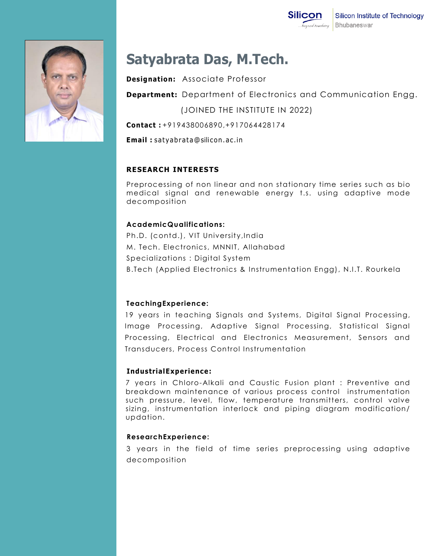

# **Satyabrata Das, M.Tech.**

**Designation:** Associate Professor

**Department:** Department of Electronics and Communication Engg.

(JOINED THE INSTITUTE IN 2022)

**Contact :** +919438006890,+917064428174

**Email** : satyabrata@silicon.ac.in

## **RESEARCH INTERESTS**

Preprocessing of non linear and non stationary time series such as bio medical signal and renewable energy t.s. using adaptive mode decomposition

### **AcademicQualifications:**

Ph.D. (contd.), VIT University,India M. Tech. Electronics, MNNIT, Allahabad Specializations : Digital System B.Tech (Applied Electronics & Instrumentation Engg), N.I.T. Rourkela

### **TeachingExperience:**

19 years in teaching Signals and Systems, Digital Signal Processing, Image Processing, Adaptive Signal Processing, Statistical Signal Processing, Electrical and Electronics Measurement, Sensors and Transducers, Process Control Instrumentation

### **IndustrialExperience:**

7 years in Chloro-Alkali and Caustic Fusion plant : Preventive and breakdown maintenance of various process control instrumentation such pressure, level, flow, temperature transmitters, control valve sizing, instrumentation interlock and piping diagram modification/ updation.

#### **ResearchExperience:**

3 years in the field of time series preprocessing using adaptive decomposition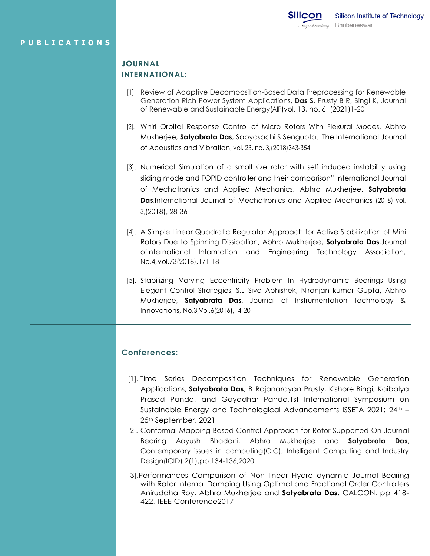### **JOURNAL INTERNATIONAL:**

- [1] Review of Adaptive Decomposition-Based Data Preprocessing for Renewable Generation Rich Power System Applications, **Das S**, Prusty B R, Bingi K, Journal of Renewable and Sustainable Energy(AIP)vol. 13, no. 6, (2021)1-20
- [2]. Whirl Orbital Response Control of Micro Rotors With Flexural Modes, Abhro Mukherjee, **Satyabrata Das**, Sabyasachi S Sengupta. The International Journal of Acoustics and Vibration, vol. 23, no. 3,(2018)343-354
- [3]. Numerical Simulation of a small size rotor with self induced instability using sliding mode and FOPID controller and their comparison" International Journal of Mechatronics and Applied Mechanics, Abhro Mukherjee, **Satyabrata Das**,International Journal of Mechatronics and Applied Mechanics (2018) vol. 3,(2018), 28-36
- [4]. A Simple Linear Quadratic Regulator Approach for Active Stabilization of Mini Rotors Due to Spinning Dissipation, Abhro Mukherjee, **Satyabrata Das**,Journal ofInternational Information and Engineering Technology Association, No.4,Vol.73(2018),171-181
- [5]. Stabilizing Varying Eccentricity Problem In Hydrodynamic Bearings Using Elegant Control Strategies, S.J Siva Abhishek, Niranjan kumar Gupta, Abhro Mukherjee, **Satyabrata Das**, Journal of Instrumentation Technology & Innovations, No.3,Vol.6(2016),14-20

### **Conferences:**

- [1]. Time Series Decomposition Techniques for Renewable Generation Applications, **Satyabrata Das**, B Rajanarayan Prusty, Kishore Bingi, Kaibalya Prasad Panda, and Gayadhar Panda,1st International Symposium on Sustainable Energy and Technological Advancements ISSETA 2021: 24th -25th September, 2021
- [2]. Conformal Mapping Based Control Approach for Rotor Supported On Journal Bearing Aayush Bhadani, Abhro Mukherjee and **Satyabrata Das**, Contemporary issues in computing(CIC), Intelligent Computing and Industry Design(ICID) 2(1),pp.134-136,2020
- [3].Performances Comparison of Non linear Hydro dynamic Journal Bearing with Rotor Internal Damping Using Optimal and Fractional Order Controllers Aniruddha Roy, Abhro Mukherjee and **Satyabrata Das**, CALCON, pp 418- 422, IEEE Conference2017